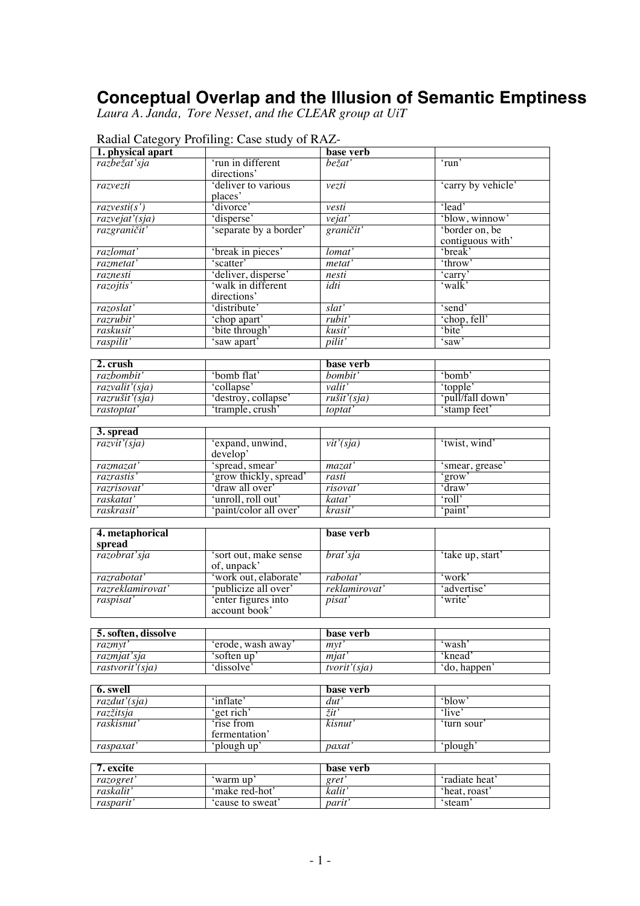## **Conceptual Overlap and the Illusion of Semantic Emptiness**

*Laura A. Janda, Tore Nesset, and the CLEAR group at UiT*

| 1. physical apart         | Radial Category Profilling: Case study of RAZ- | base verb              |                    |
|---------------------------|------------------------------------------------|------------------------|--------------------|
| razbežať sja              | 'run in different                              | bežať                  | 'run'              |
|                           | directions'                                    |                        |                    |
| razvezti                  | 'deliver to various<br>places'                 | vezti                  | 'carry by vehicle' |
| razvesti(s')              | divorce'                                       | vesti                  | 'lead'             |
| razvejať (sja)            | 'disperse'                                     | $v$ ejat'              | 'blow, winnow'     |
| razgraničit'              | 'separate by a border'                         | graničit'              | 'border on, be     |
|                           |                                                |                        | contiguous with'   |
| razlomat'                 | 'break in pieces'                              | lomat'                 | 'break'            |
| razmetat'                 | 'scatter'                                      | metat'                 | 'throw'            |
| raznesti                  | 'deliver, disperse'                            | nesti                  | 'carry'            |
| razojtis'                 | 'walk in different<br>directions'              | idti                   | 'walk'             |
| razoslat'                 | 'distribute'                                   | slat'                  | 'send'             |
| razrubit'                 | 'chop apart'                                   | rubit'                 | 'chop, fell'       |
| raskusit'                 | 'bite through'                                 | kusit'                 | 'bite'             |
| raspilit'                 | 'saw apart'                                    | pilit'                 | ʻsaw'              |
| 2. crush                  |                                                | base verb              |                    |
| razbombit'                | 'bomb flat'                                    | bombit'                | 'bomb'             |
| razvalit'(sja)            | 'collapse'                                     | valit'                 | 'topple'           |
| razrušit'(sja)            | 'destroy, collapse'                            |                        | 'pull/fall down'   |
| rastoptat'                | 'trample, crush'                               | rušit'(sja)<br>toptat' | 'stamp feet'       |
|                           |                                                |                        |                    |
| 3. spread                 |                                                |                        |                    |
| $\overline{razvit'(sja)}$ | 'expand, unwind,<br>develop'                   | vit'(sja)              | 'twist, wind'      |
| razmazat'                 | 'spread, smear'                                | maxat'                 | 'smear, grease'    |
| razrastis'                | 'grow thickly, spread'                         | rasti                  | 'grow'             |
| razrisovať                | 'draw all over'                                | risovat'               | 'draw'             |
| raskatat'                 | 'unroll, roll out'                             | katat'                 | 'roll'             |
| raskrasit'                | 'paint/color all over'                         | krasit'                | 'paint'            |
|                           |                                                | base verb              |                    |
| 4. metaphorical<br>spread |                                                |                        |                    |
| razobrat'sja              | 'sort out, make sense<br>of, unpack'           | brat'sja               | 'take up, start'   |
| razrabotať                | 'work out, elaborate'                          | rabotat'               | 'work'             |
| razreklamirovat'          | 'publicize all over'                           | reklamirovat'          | 'advertise'        |
| raspisat'                 | 'enter figures into<br>account book'           | pisat'                 | 'write'            |
| 5. soften, dissolve       |                                                | base verb              |                    |
| razmyt'                   | 'erode, wash away'                             | mvt'                   | 'wash'             |
| razmjat'sja               | 'soften up'                                    | mjat'                  | 'knead'            |
| rastvorit'(sja)           | 'dissolve'                                     | tvorit'(sja)           | 'do, happen'       |
|                           |                                                |                        |                    |
| 6. swell                  |                                                | base verb              |                    |
| $razdu$ t'(sja)           | 'inflate'                                      | $\overline{dut'}$      | 'blow'             |
| razžitsja                 | 'get rich'                                     | žit'                   | 'live'             |
| raskisnut'                | 'rise from<br>fermentation'                    | kisnut'                | 'turn sour'        |
| raspaxat'                 | 'plough up'                                    | paxat                  | 'plough'           |
|                           |                                                |                        |                    |
| 7. excite                 |                                                | base verb              |                    |
| razogret'                 | 'warm up'                                      | gret'                  | 'radiate heat'     |
| raskalit'                 | 'make red-hot'                                 | kalit'                 | 'heat, roast'      |
| rasparit'                 | 'cause to sweat'                               | parit'                 | 'steam'            |

| Radial Category Profiling: Case study of RAZ- |  |  |
|-----------------------------------------------|--|--|
|-----------------------------------------------|--|--|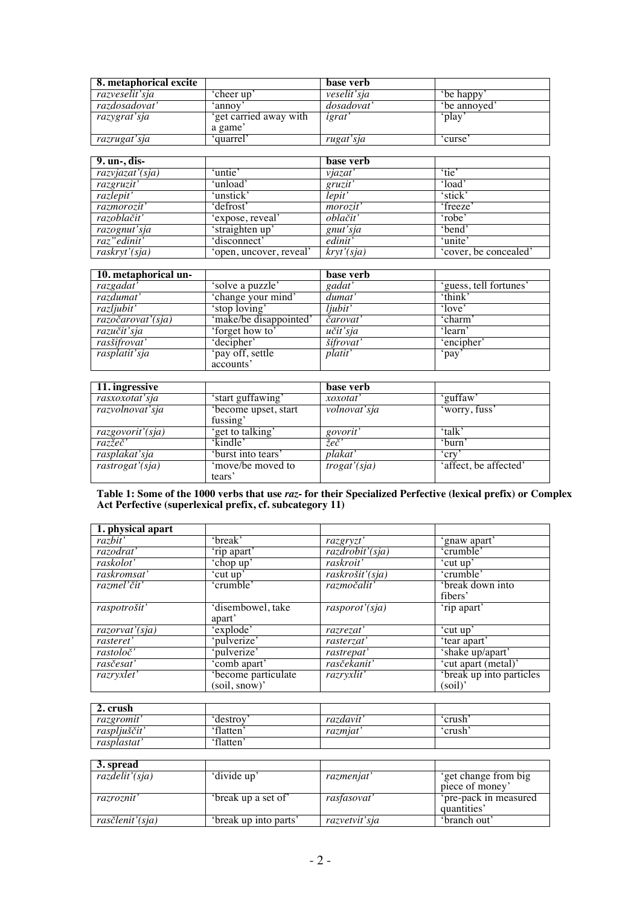| 8. metaphorical excite |                                   | base verb              |            |
|------------------------|-----------------------------------|------------------------|------------|
| razveselit'sja         | 'cheer up'                        | veselit'sja            | be happy   |
| razdosadovat'          | `annov                            | dosadovat <sup>-</sup> | be annoved |
| razygrať sja           | 'get carried away with<br>a game' | igrat                  | ʻplav      |
| razrugat'sja           | 'quarrel'                         | rugat'sja              | 'curse     |

| 9. un-, dis-               |                         | base verb        |                       |
|----------------------------|-------------------------|------------------|-----------------------|
| razvjazat'(sja)            | 'untie'                 | vjazat'          | 'tie'                 |
| razgruzit'                 | 'unload'                | gruzit'          | 'load'                |
| razlepit'                  | 'unstick'               | lepit'           | 'stick'               |
| razmorozit'                | 'defrost'               | <i>morozit</i> ' | 'freeze'              |
| razoblačiť                 | 'expose, reveal'        | oblačit'         | 'robe'                |
| razognut'sja               | 'straighten up'         | gnut'sja         | 'bend'                |
| raz" edinit'               | 'disconnect'            | edinit'          | 'unite'               |
| $\overline{raskryt'(sja)}$ | 'open, uncover, reveal' | kryt'(sja)       | 'cover, be concealed' |

| 10. metaphorical un- |                        | base verb |                        |
|----------------------|------------------------|-----------|------------------------|
| razgadat'            | 'solve a puzzle'       | gadat'    | 'guess, tell fortunes' |
| razdumat'            | 'change your mind'     | dumat'    | 'think'                |
| razljubit'           | 'stop loving'          | liubit'   | 'love'                 |
| razočarovať (sja)    | 'make/be disappointed' | čarovat'  | 'charm                 |
| razučit'sja          | 'forget how to'        | učit'sja  | 'learn'                |
| rasšifrovat'         | 'decipher'             | šifrovat' | 'encipher'             |
| rasplatit'sja        | 'pay off, settle       | platit'   | `pay                   |
|                      | accounts'              |           |                        |

| 11. ingressive   |                                 | base verb    |                       |
|------------------|---------------------------------|--------------|-----------------------|
| rasxoxotat'sja   | 'start guffawing'               | xoxotat'     | ʻguffaw'              |
| razvolnovať sja  | become upset, start<br>fussing' | volnovať sja | 'worry, fuss'         |
| razgovorit'(sja) | 'get to talking'                | govorit'     | 'talk'                |
| razžeč'          | 'kindle'                        | žeč'         | 'burn'                |
| rasplakat'sja    | 'burst into tears'              | plakat'      | 'cry                  |
| rastrogat'(sja)  | 'move/be moved to<br>tears'     | trogat'(sja) | 'affect, be affected' |

**Table 1: Some of the 1000 verbs that use** *raz-* **for their Specialized Perfective (lexical prefix) or Complex Act Perfective (superlexical prefix, cf. subcategory 11)**

| 1. physical apart |                     |                 |                          |
|-------------------|---------------------|-----------------|--------------------------|
| razbit'           | 'break'             | razgryzt'       | 'gnaw apart'             |
| razodrať          | 'rip apart'         | razdrobit'(sja) | 'crumble'                |
| raskolot'         | 'chop up'           | raskroit'       | 'cut up'                 |
| raskromsat'       | 'cut up'            | raskrošit'(sja) | 'crumble'                |
| razmel'čit'       | 'crumble'           | razmočalit'     | 'break down into         |
|                   |                     |                 | fibers'                  |
| raspotrošit'      | 'disembowel, take   | rasporot'(sja)  | 'rip apart'              |
|                   | apart'              |                 |                          |
| razorvat'(sja)    | 'explode'           | razrezat'       | 'cut up'                 |
| rasteret'         | 'pulverize'         | rasterzat'      | 'tear apart'             |
| rastoloč'         | 'pulverize'         | rastrepat'      | 'shake up/apart'         |
| rasčesať          | 'comb apart'        | rasčekanit'     | 'cut apart (metal)'      |
| razryxlet'        | 'become particulate | razryxlit'      | 'break up into particles |
|                   | (soil, snow)'       |                 | (soil)'                  |

| 2. crush                |          |          |       |  |
|-------------------------|----------|----------|-------|--|
| razgromit               | destrov  | razdavit | crush |  |
| raspljuščit'            | 'flatten | razmjat  | crush |  |
| rasplastat <sup>.</sup> | 'flatten |          |       |  |

| 3. spread       |                       |               |                       |
|-----------------|-----------------------|---------------|-----------------------|
| razdelit'(sja)  | 'divide up'           | razmenjat'    | 'get change from big  |
|                 |                       |               | piece of money'       |
| razroznit'      | 'break up a set of'   | rasfasovat'   | 'pre-pack in measured |
|                 |                       |               | quantities'           |
| rasčlenit'(sja) | 'break up into parts' | razvetviť sja | 'branch out'          |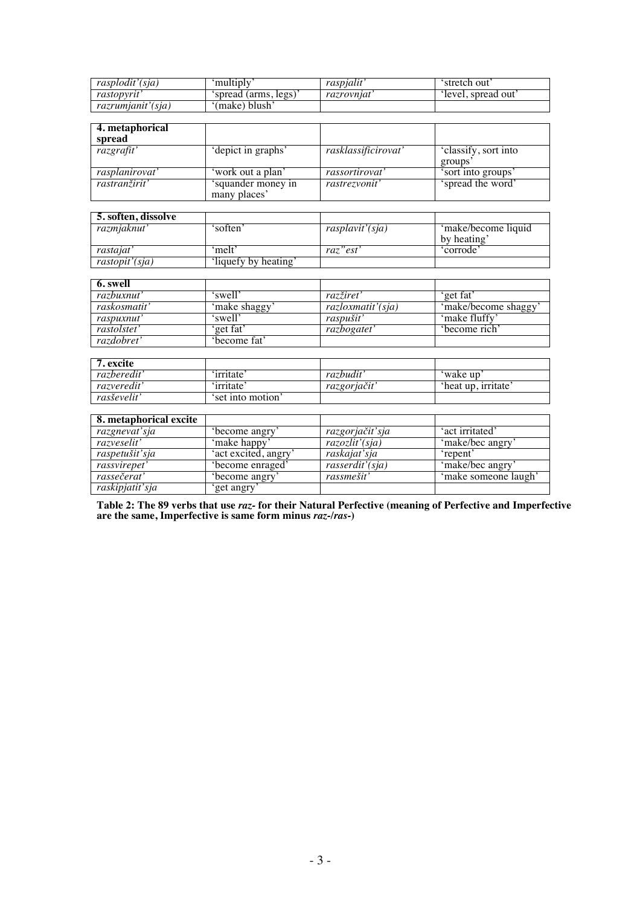| rasplodit'(sia)   | multiply             | raspialit' | `stretch out      |
|-------------------|----------------------|------------|-------------------|
| rastopyrit        | 'spread (arms, legs) | razrovniat | level, spread out |
| razrumjanit'(sja) | '(make) blush'       |            |                   |

| 4. metaphorical<br>spread |                                    |                     |                                |
|---------------------------|------------------------------------|---------------------|--------------------------------|
| razgrafit'                | 'depict in graphs'                 | rasklassificirovat' | 'classify, sort into<br>groups |
| rasplanirovat'            | 'work out a plan'                  | rassortirovat'      | 'sort into groups'             |
| rastranžirit'             | 'squander money in<br>many places' | rastrezvonit'       | 'spread the word'              |

| <b>5. soften, dissolve</b> |                      |                 |                     |
|----------------------------|----------------------|-----------------|---------------------|
| razmjaknut'                | 'soften'             | rasplavit'(sja) | 'make/become liquid |
|                            |                      |                 | by heating'         |
| rastaiat'                  | ʻmelt'               | raz" est'       | 'corrode'           |
| rastopit'(sja)             | 'liquefy by heating' |                 |                     |

| 6. swell     |              |                       |                      |
|--------------|--------------|-----------------------|----------------------|
| razbuxnut'   | 'swell'      | razžiret <sup>'</sup> | 'get fat'            |
| raskosmatit' | 'make shaggy | razloxmatit'(sja)     | 'make/become shaggy' |
| raspuxnut'   | 'swell'      | raspušit <sup>'</sup> | 'make fluffy'        |
| rastolstet'  | 'get fat'    | razbogatet'           | 'become rich'        |
| razdobret'   | become fat'  |                       |                      |

| '. excite   |                  |              |                     |
|-------------|------------------|--------------|---------------------|
| razberedit' | 'irritate'       | razbudit'    | 'wake up            |
| razveredit' | 'irritate'       | razgorjačit' | 'heat up, irritate' |
| rasševelit' | set into motion' |              |                     |

| 8. metaphorical excite |                      |                 |                      |
|------------------------|----------------------|-----------------|----------------------|
| razgnevat'sja          | become angry         | razgorjačit'sja | 'act irritated'      |
| razveselit'            | 'make happy'         | razozlit'(sja)  | 'make/bec angry      |
| raspetušit'sja         | 'act excited, angry' | raskajat'sja    | 'repent'             |
| rassvirepet'           | 'become enraged'     | rasserdit'(sja) | 'make/bec angry'     |
| rassečerať             | 'become angry'       | rassmešit'      | 'make someone laugh' |
| raskipjatit'sja        | get angry'           |                 |                      |

**Table 2: The 89 verbs that use** *raz-* **for their Natural Perfective (meaning of Perfective and Imperfective are the same, Imperfective is same form minus** *raz-/ras-***)**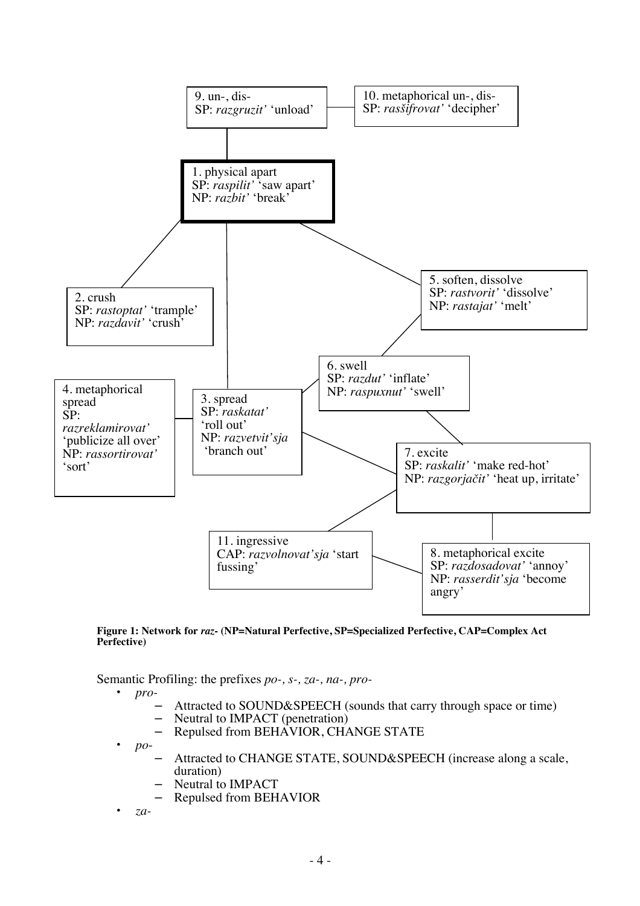

**Figure 1: Network for** *raz***- (NP=Natural Perfective, SP=Specialized Perfective, CAP=Complex Act Perfective)**

Semantic Profiling: the prefixes *po-, s-, za-, na-, pro-*

• *pro-*

- Attracted to SOUND&SPEECH (sounds that carry through space or time)<br>– Neutral to IMPACT (penetration)
- Neutral to IMPACT (penetration)
- Repulsed from BEHAVIOR, CHANGE STATE
- *po*
	- Attracted to CHANGE STATE, SOUND&SPEECH (increase along a scale, duration)
	- Neutral to IMPACT
	- Repulsed from BEHAVIOR
- *za-*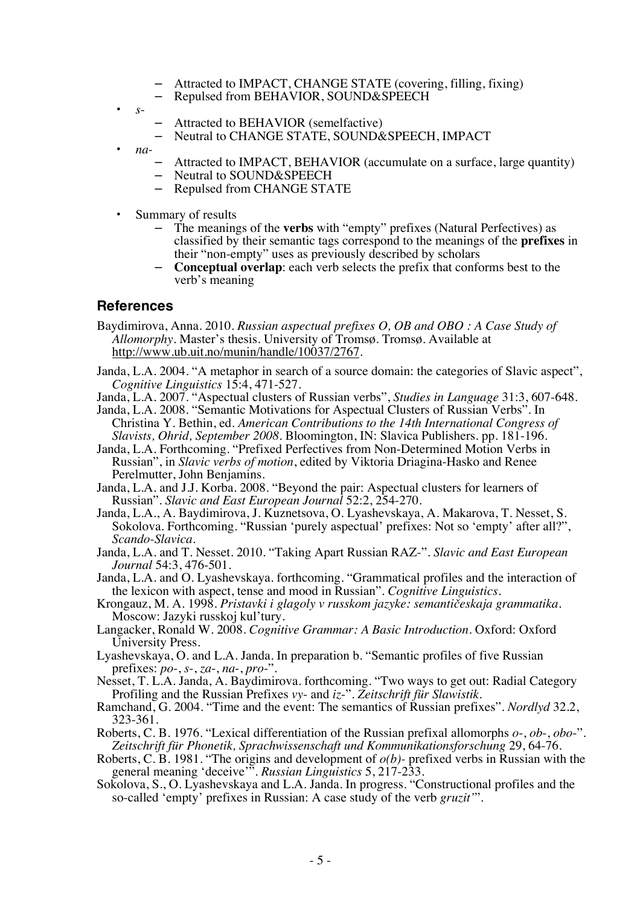- Attracted to IMPACT, CHANGE STATE (covering, filling, fixing)
- Repulsed from BEHAVIOR, SOUND&SPEECH
- *s*
	- Attracted to BEHAVIOR (semelfactive)
	- Neutral to CHANGE STATE, SOUND&SPEECH, IMPACT
- *na-*
	- Attracted to IMPACT, BEHAVIOR (accumulate on a surface, large quantity)
	- Neutral to SOUND&SPEECH
	- Repulsed from CHANGE STATE
- Summary of results
	- The meanings of the **verbs** with "empty" prefixes (Natural Perfectives) as classified by their semantic tags correspond to the meanings of the **prefixes** in their "non-empty" uses as previously described by scholars
	- **Conceptual overlap**: each verb selects the prefix that conforms best to the verb's meaning

## **References**

- Baydimirova, Anna. 2010. *Russian aspectual prefixes O, OB and OBO : A Case Study of Allomorphy.* Master's thesis. University of Tromsø. Tromsø. Available at http://www.ub.uit.no/munin/handle/10037/2767.
- Janda, L.A. 2004. "A metaphor in search of a source domain: the categories of Slavic aspect", *Cognitive Linguistics* 15:4, 471-527.
- Janda, L.A. 2007. "Aspectual clusters of Russian verbs", *Studies in Language* 31:3, 607-648.
- Janda, L.A. 2008. "Semantic Motivations for Aspectual Clusters of Russian Verbs". In Christina Y. Bethin, ed. *American Contributions to the 14th International Congress of Slavists, Ohrid, September 2008.* Bloomington, IN: Slavica Publishers. pp. 181-196.
- Janda, L.A. Forthcoming. "Prefixed Perfectives from Non-Determined Motion Verbs in Russian", in *Slavic verbs of motion*, edited by Viktoria Driagina-Hasko and Renee Perelmutter, John Benjamins.
- Janda, L.A. and J.J. Korba. 2008. "Beyond the pair: Aspectual clusters for learners of Russian". *Slavic and East European Journal* 52:2, 254-270.
- Janda, L.A., A. Baydimirova, J. Kuznetsova, O. Lyashevskaya, A. Makarova, T. Nesset, S. Sokolova. Forthcoming. "Russian 'purely aspectual' prefixes: Not so 'empty' after all?", *Scando-Slavica*.
- Janda, L.A. and T. Nesset. 2010. "Taking Apart Russian RAZ-". *Slavic and East European Journal* 54:3, 476-501.
- Janda, L.A. and O. Lyashevskaya. forthcoming. "Grammatical profiles and the interaction of the lexicon with aspect, tense and mood in Russian". *Cognitive Linguistics*.
- Krongauz, M. A. 1998. *Pristavki i glagoly v russkom jazyke: semantičeskaja grammatika.*  Moscow: Jazyki russkoj kul'tury.
- Langacker, Ronald W. 2008. *Cognitive Grammar: A Basic Introduction.* Oxford: Oxford University Press.
- Lyashevskaya, O. and L.A. Janda. In preparation b. "Semantic profiles of five Russian prefixes: *po*-, *s*-, *za*-, *na*-, *pro*-".
- Nesset, T. L.A. Janda, A. Baydimirova. forthcoming. "Two ways to get out: Radial Category Profiling and the Russian Prefixes *vy*- and *iz*-". *Zeitschrift für Slawistik*.
- Ramchand, G. 2004. "Time and the event: The semantics of Russian prefixes". *Nordlyd* 32.2, 323-361.
- Roberts, C. B. 1976. "Lexical differentiation of the Russian prefixal allomorphs *o*-, *ob*-, *obo*-". *Zeitschrift für Phonetik, Sprachwissenschaft und Kommunikationsforschung* 29, 64-76.
- Roberts, C. B. 1981. "The origins and development of *o(b)-* prefixed verbs in Russian with the general meaning 'deceive'". *Russian Linguistics* 5, 217-233.
- Sokolova, S., O. Lyashevskaya and L.A. Janda. In progress. "Constructional profiles and the so-called 'empty' prefixes in Russian: A case study of the verb *gruzit'*".